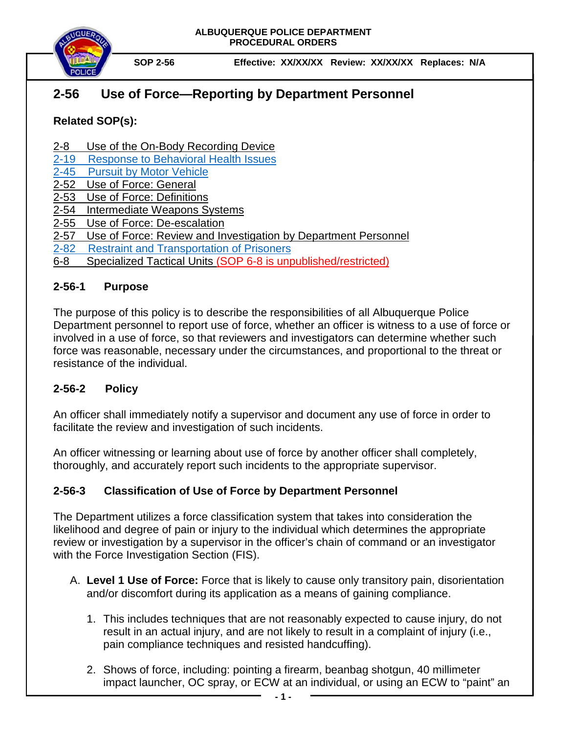



**SOP 2-56 Effective: XX/XX/XX Review: XX/XX/XX Replaces: N/A**

# **2-56 Use of Force—Reporting by Department Personnel**

## **Related SOP(s):**

- 2-8 Use of the On-Body Recording Device
- [2-19 Response to Behavioral Health Issues](https://powerdms.com/link/IDS/document/?id=1192186)
- [2-45 Pursuit by Motor Vehicle](https://powerdms.com/link/IDS/document/?id=139)
- 2-52 [Use of Force: General](https://powerdms.com/docs/135?q=2-52)
- 2-53 [Use of Force:](https://powerdms.com/docs/137?q=2-53) Definitions
- 2-54 [Intermediate Weapons](https://powerdms.com/docs/755463?q=2-54) Systems
- 2-55 [Use of Force: De-escalation](https://powerdms.com/docs/755516?q=2-55)
- 2-57 Use of Force: Review and Investigation by Department Personnel
- [2-82 Restraint and Transportation of Prisoners](https://powerdms.com/link/IDS/document/?id=102)
- 6-8 Specialized Tactical Units (SOP 6-8 is unpublished/restricted)

#### **2-56-1 Purpose**

The purpose of this policy is to describe the responsibilities of all Albuquerque Police Department personnel to report use of force, whether an officer is witness to a use of force or involved in a use of force, so that reviewers and investigators can determine whether such force was reasonable, necessary under the circumstances, and proportional to the threat or resistance of the individual.

### **2-56-2 Policy**

An officer shall immediately notify a supervisor and document any use of force in order to facilitate the review and investigation of such incidents.

An officer witnessing or learning about use of force by another officer shall completely, thoroughly, and accurately report such incidents to the appropriate supervisor.

### **2-56-3 Classification of Use of Force by Department Personnel**

The Department utilizes a force classification system that takes into consideration the likelihood and degree of pain or injury to the individual which determines the appropriate review or investigation by a supervisor in the officer's chain of command or an investigator with the Force Investigation Section (FIS).

- A. **Level 1 Use of Force:** Force that is likely to cause only transitory pain, disorientation and/or discomfort during its application as a means of gaining compliance.
	- 1. This includes techniques that are not reasonably expected to cause injury, do not result in an actual injury, and are not likely to result in a complaint of injury (i.e., pain compliance techniques and resisted handcuffing).
	- 2. Shows of force, including: pointing a firearm, beanbag shotgun, 40 millimeter impact launcher, OC spray, or ECW at an individual, or using an ECW to "paint" an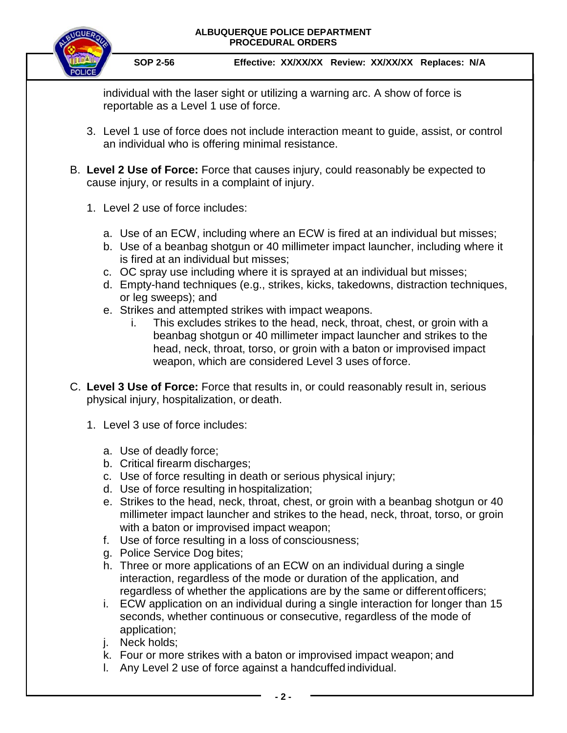#### **ALBUQUERQUE POLICE DEPARTMENT PROCEDURAL ORDERS**



individual with the laser sight or utilizing a warning arc. A show of force is reportable as a Level 1 use of force.

- 3. Level 1 use of force does not include interaction meant to guide, assist, or control an individual who is offering minimal resistance.
- B. **Level 2 Use of Force:** Force that causes injury, could reasonably be expected to cause injury, or results in a complaint of injury.
	- 1. Level 2 use of force includes:
		- a. Use of an ECW, including where an ECW is fired at an individual but misses;
		- b. Use of a beanbag shotgun or 40 millimeter impact launcher, including where it is fired at an individual but misses;
		- c. OC spray use including where it is sprayed at an individual but misses;
		- d. Empty-hand techniques (e.g., strikes, kicks, takedowns, distraction techniques, or leg sweeps); and
		- e. Strikes and attempted strikes with impact weapons.
			- i. This excludes strikes to the head, neck, throat, chest, or groin with a beanbag shotgun or 40 millimeter impact launcher and strikes to the head, neck, throat, torso, or groin with a baton or improvised impact weapon, which are considered Level 3 uses of force.
- C. **Level 3 Use of Force:** Force that results in, or could reasonably result in, serious physical injury, hospitalization, or death.
	- 1. Level 3 use of force includes:
		- a. Use of deadly force;
		- b. Critical firearm discharges;
		- c. Use of force resulting in death or serious physical injury;
		- d. Use of force resulting in hospitalization;
		- e. Strikes to the head, neck, throat, chest, or groin with a beanbag shotgun or 40 millimeter impact launcher and strikes to the head, neck, throat, torso, or groin with a baton or improvised impact weapon;
		- f. Use of force resulting in a loss of consciousness;
		- g. Police Service Dog bites;
		- h. Three or more applications of an ECW on an individual during a single interaction, regardless of the mode or duration of the application, and regardless of whether the applications are by the same or differentofficers;
		- i. ECW application on an individual during a single interaction for longer than 15 seconds, whether continuous or consecutive, regardless of the mode of application;
		- j. Neck holds;
		- k. Four or more strikes with a baton or improvised impact weapon; and
		- l. Any Level 2 use of force against a handcuffed individual.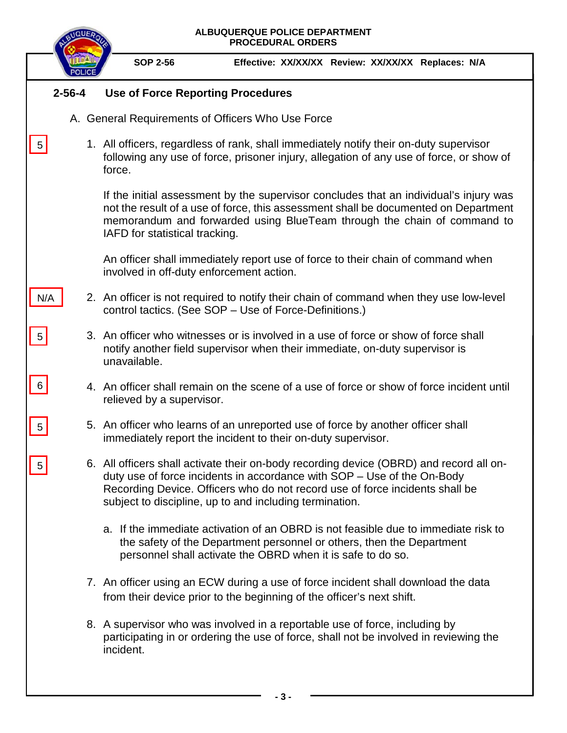|                 | ALBUQUERQUE POLICE DEPARTMENT<br><b>PROCEDURAL ORDERS</b>                                                                                                                                                                                                                                                     |
|-----------------|---------------------------------------------------------------------------------------------------------------------------------------------------------------------------------------------------------------------------------------------------------------------------------------------------------------|
|                 | <b>SOP 2-56</b><br>Effective: XX/XX/XX Review: XX/XX/XX Replaces: N/A                                                                                                                                                                                                                                         |
| $2 - 56 - 4$    | <b>Use of Force Reporting Procedures</b>                                                                                                                                                                                                                                                                      |
|                 | A. General Requirements of Officers Who Use Force                                                                                                                                                                                                                                                             |
| $5\phantom{.0}$ | 1. All officers, regardless of rank, shall immediately notify their on-duty supervisor<br>following any use of force, prisoner injury, allegation of any use of force, or show of<br>force.                                                                                                                   |
|                 | If the initial assessment by the supervisor concludes that an individual's injury was<br>not the result of a use of force, this assessment shall be documented on Department<br>memorandum and forwarded using BlueTeam through the chain of command to<br>IAFD for statistical tracking.                     |
|                 | An officer shall immediately report use of force to their chain of command when<br>involved in off-duty enforcement action.                                                                                                                                                                                   |
| N/A             | 2. An officer is not required to notify their chain of command when they use low-level<br>control tactics. (See SOP - Use of Force-Definitions.)                                                                                                                                                              |
| $5\vert$        | 3. An officer who witnesses or is involved in a use of force or show of force shall<br>notify another field supervisor when their immediate, on-duty supervisor is<br>unavailable.                                                                                                                            |
| $6 \mid$        | 4. An officer shall remain on the scene of a use of force or show of force incident until<br>relieved by a supervisor.                                                                                                                                                                                        |
| $5\phantom{.0}$ | 5. An officer who learns of an unreported use of force by another officer shall<br>immediately report the incident to their on-duty supervisor.                                                                                                                                                               |
|                 | 6. All officers shall activate their on-body recording device (OBRD) and record all on-<br>duty use of force incidents in accordance with SOP - Use of the On-Body<br>Recording Device. Officers who do not record use of force incidents shall be<br>subject to discipline, up to and including termination. |
|                 | a. If the immediate activation of an OBRD is not feasible due to immediate risk to<br>the safety of the Department personnel or others, then the Department<br>personnel shall activate the OBRD when it is safe to do so.                                                                                    |
|                 | 7. An officer using an ECW during a use of force incident shall download the data<br>from their device prior to the beginning of the officer's next shift.                                                                                                                                                    |
|                 | 8. A supervisor who was involved in a reportable use of force, including by<br>participating in or ordering the use of force, shall not be involved in reviewing the<br>incident.                                                                                                                             |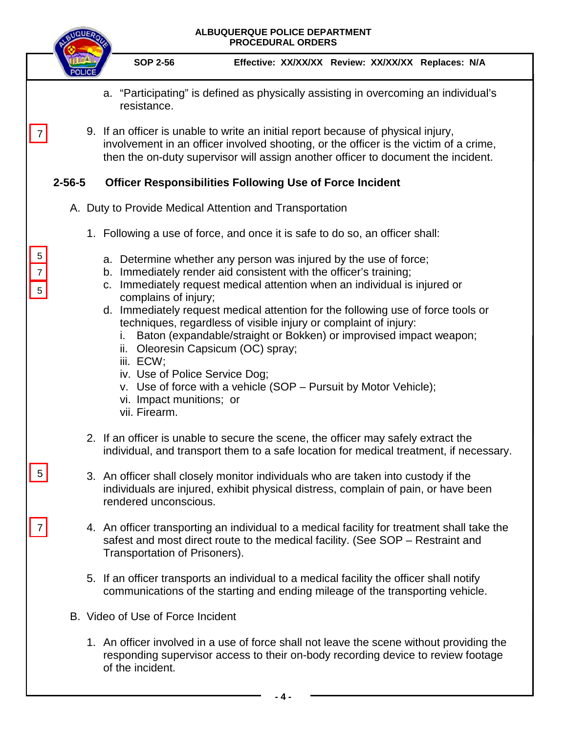|                                                |              | ALBUQUERQUE POLICE DEPARTMENT<br><b>PROCEDURAL ORDERS</b>                                                                                                                                                                                                                                                                                                                                                                                                                                                                                                                                                                                                                                                                                                                        |
|------------------------------------------------|--------------|----------------------------------------------------------------------------------------------------------------------------------------------------------------------------------------------------------------------------------------------------------------------------------------------------------------------------------------------------------------------------------------------------------------------------------------------------------------------------------------------------------------------------------------------------------------------------------------------------------------------------------------------------------------------------------------------------------------------------------------------------------------------------------|
|                                                |              | <b>SOP 2-56</b><br>Effective: XX/XX/XX Review: XX/XX/XX Replaces: N/A                                                                                                                                                                                                                                                                                                                                                                                                                                                                                                                                                                                                                                                                                                            |
|                                                |              | a. "Participating" is defined as physically assisting in overcoming an individual's<br>resistance.                                                                                                                                                                                                                                                                                                                                                                                                                                                                                                                                                                                                                                                                               |
|                                                |              | 9. If an officer is unable to write an initial report because of physical injury,<br>involvement in an officer involved shooting, or the officer is the victim of a crime,<br>then the on-duty supervisor will assign another officer to document the incident.                                                                                                                                                                                                                                                                                                                                                                                                                                                                                                                  |
|                                                | $2 - 56 - 5$ | <b>Officer Responsibilities Following Use of Force Incident</b>                                                                                                                                                                                                                                                                                                                                                                                                                                                                                                                                                                                                                                                                                                                  |
|                                                |              | A. Duty to Provide Medical Attention and Transportation                                                                                                                                                                                                                                                                                                                                                                                                                                                                                                                                                                                                                                                                                                                          |
|                                                |              | 1. Following a use of force, and once it is safe to do so, an officer shall:                                                                                                                                                                                                                                                                                                                                                                                                                                                                                                                                                                                                                                                                                                     |
| $\sqrt{5}$<br>$\overline{7}$<br>$\overline{5}$ |              | a. Determine whether any person was injured by the use of force;<br>b. Immediately render aid consistent with the officer's training;<br>Immediately request medical attention when an individual is injured or<br>C.<br>complains of injury;<br>d. Immediately request medical attention for the following use of force tools or<br>techniques, regardless of visible injury or complaint of injury:<br>Baton (expandable/straight or Bokken) or improvised impact weapon;<br>Τ.<br>ii. Oleoresin Capsicum (OC) spray;<br>iii. ECW;<br>iv. Use of Police Service Dog;<br>v. Use of force with a vehicle (SOP – Pursuit by Motor Vehicle);<br>vi. Impact munitions; or<br>vii. Firearm.                                                                                          |
| 5                                              |              | 2. If an officer is unable to secure the scene, the officer may safely extract the<br>individual, and transport them to a safe location for medical treatment, if necessary.<br>3. An officer shall closely monitor individuals who are taken into custody if the<br>individuals are injured, exhibit physical distress, complain of pain, or have been<br>rendered unconscious.<br>4. An officer transporting an individual to a medical facility for treatment shall take the<br>safest and most direct route to the medical facility. (See SOP – Restraint and<br>Transportation of Prisoners).<br>5. If an officer transports an individual to a medical facility the officer shall notify<br>communications of the starting and ending mileage of the transporting vehicle. |
|                                                |              | B. Video of Use of Force Incident                                                                                                                                                                                                                                                                                                                                                                                                                                                                                                                                                                                                                                                                                                                                                |
|                                                |              | 1. An officer involved in a use of force shall not leave the scene without providing the<br>responding supervisor access to their on-body recording device to review footage<br>of the incident.                                                                                                                                                                                                                                                                                                                                                                                                                                                                                                                                                                                 |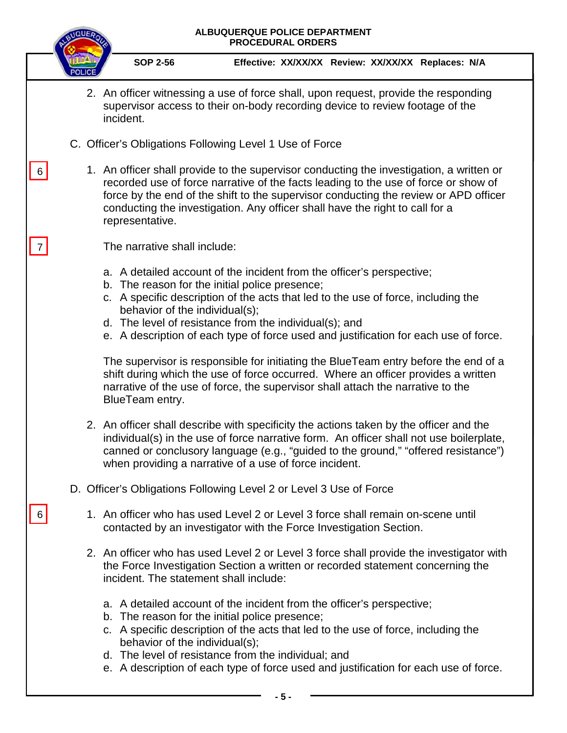